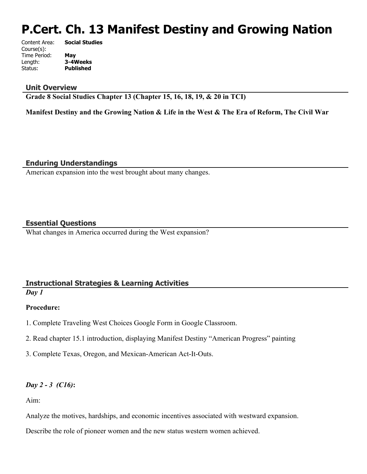# **P.Cert. Ch. 13 Manifest Destiny and Growing Nation**

| Content Area: | <b>Social Studies</b> |
|---------------|-----------------------|
| Course(s):    |                       |
| Time Period:  | May                   |
| Length:       | 3-4Weeks              |
| Status:       | <b>Published</b>      |
|               |                       |

#### **Unit Overview**

**Grade 8 Social Studies Chapter 13 (Chapter 15, 16, 18, 19, & 20 in TCI)**

**Manifest Destiny and the Growing Nation & Life in the West & The Era of Reform, The Civil War**

**Enduring Understandings**

American expansion into the west brought about many changes.

# **Essential Questions**

What changes in America occurred during the West expansion?

# **Instructional Strategies & Learning Activities**

*Day 1* 

## **Procedure:**

- 1. Complete Traveling West Choices Google Form in Google Classroom.
- 2. Read chapter 15.1 introduction, displaying Manifest Destiny "American Progress" painting
- 3. Complete Texas, Oregon, and Mexican-American Act-It-Outs.

# *Day 2 - 3 (C16)***:**

Aim:

Analyze the motives, hardships, and economic incentives associated with westward expansion.

Describe the role of pioneer women and the new status western women achieved.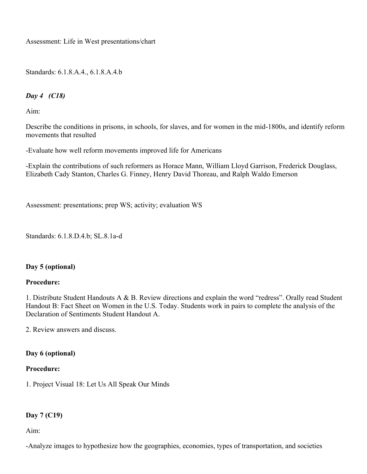Assessment: Life in West presentations/chart

Standards: 6.1.8.A.4., 6.1.8.A.4.b

# *Day 4 (C18)*

Aim:

Describe the conditions in prisons, in schools, for slaves, and for women in the mid-1800s, and identify reform movements that resulted

-Evaluate how well reform movements improved life for Americans

-Explain the contributions of such reformers as Horace Mann, William Lloyd Garrison, Frederick Douglass, Elizabeth Cady Stanton, Charles G. Finney, Henry David Thoreau, and Ralph Waldo Emerson

Assessment: presentations; prep WS; activity; evaluation WS

Standards: 6.1.8.D.4.b; SL.8.1a-d

## **Day 5 (optional)**

#### **Procedure:**

1. Distribute Student Handouts A & B. Review directions and explain the word "redress". Orally read Student Handout B: Fact Sheet on Women in the U.S. Today. Students work in pairs to complete the analysis of the Declaration of Sentiments Student Handout A.

2. Review answers and discuss.

#### **Day 6 (optional)**

#### **Procedure:**

1. Project Visual 18: Let Us All Speak Our Minds

## **Day 7 (C19)**

Aim:

-Analyze images to hypothesize how the geographies, economies, types of transportation, and societies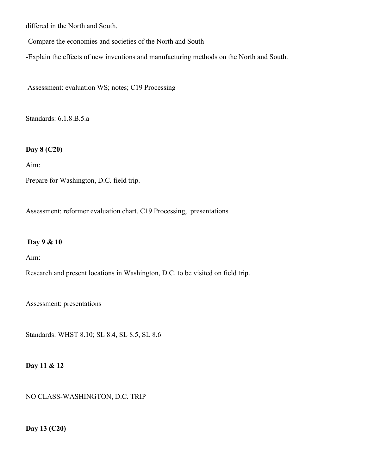differed in the North and South.

-Compare the economies and societies of the North and South

-Explain the effects of new inventions and manufacturing methods on the North and South.

Assessment: evaluation WS; notes; C19 Processing

Standards: 6.1.8.B.5.a

# **Day 8 (C20)**

Aim:

Prepare for Washington, D.C. field trip.

Assessment: reformer evaluation chart, C19 Processing, presentations

## **Day 9 & 10**

Aim:

Research and present locations in Washington, D.C. to be visited on field trip.

Assessment: presentations

Standards: WHST 8.10; SL 8.4, SL 8.5, SL 8.6

#### **Day 11 & 12**

NO CLASS-WASHINGTON, D.C. TRIP

**Day 13 (C20)**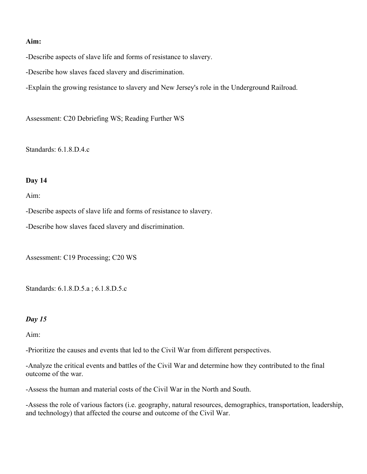#### **Aim:**

-Describe aspects of slave life and forms of resistance to slavery.

-Describe how slaves faced slavery and discrimination.

-Explain the growing resistance to slavery and New Jersey's role in the Underground Railroad.

Assessment: C20 Debriefing WS; Reading Further WS

Standards: 6.1.8.D.4.c

#### **Day 14**

Aim:

-Describe aspects of slave life and forms of resistance to slavery.

-Describe how slaves faced slavery and discrimination.

Assessment: C19 Processing; C20 WS

Standards: 6.1.8.D.5.a ; 6.1.8.D.5.c

#### *Day 15*

Aim:

-Prioritize the causes and events that led to the Civil War from different perspectives.

-Analyze the critical events and battles of the Civil War and determine how they contributed to the final outcome of the war.

-Assess the human and material costs of the Civil War in the North and South.

-Assess the role of various factors (i.e. geography, natural resources, demographics, transportation, leadership, and technology) that affected the course and outcome of the Civil War.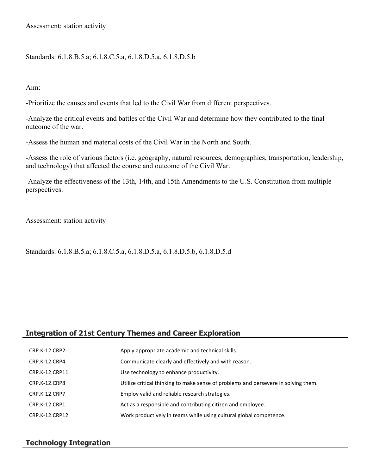Assessment: station activity

Standards: 6.1.8.B.5.a; 6.1.8.C.5.a, 6.1.8.D.5.a, 6.1.8.D.5.b

Aim:

-Prioritize the causes and events that led to the Civil War from different perspectives.

-Analyze the critical events and battles of the Civil War and determine how they contributed to the final outcome of the war.

-Assess the human and material costs of the Civil War in the North and South.

-Assess the role of various factors (i.e. geography, natural resources, demographics, transportation, leadership, and technology) that affected the course and outcome of the Civil War.

-Analyze the effectiveness of the 13th, 14th, and 15th Amendments to the U.S. Constitution from multiple perspectives.

Assessment: station activity

Standards: 6.1.8.B.5.a; 6.1.8.C.5.a, 6.1.8.D.5.a, 6.1.8.D.5.b, 6.1.8.D.5.d

# **Integration of 21st Century Themes and Career Exploration**

| CRP.K-12.CRP2        | Apply appropriate academic and technical skills.                                   |
|----------------------|------------------------------------------------------------------------------------|
| CRP.K-12.CRP4        | Communicate clearly and effectively and with reason.                               |
| CRP.K-12.CRP11       | Use technology to enhance productivity.                                            |
| CRP.K-12.CRP8        | Utilize critical thinking to make sense of problems and persevere in solving them. |
| <b>CRP.K-12.CRP7</b> | Employ valid and reliable research strategies.                                     |
| CRP.K-12.CRP1        | Act as a responsible and contributing citizen and employee.                        |
| CRP.K-12.CRP12       | Work productively in teams while using cultural global competence.                 |

## **Technology Integration**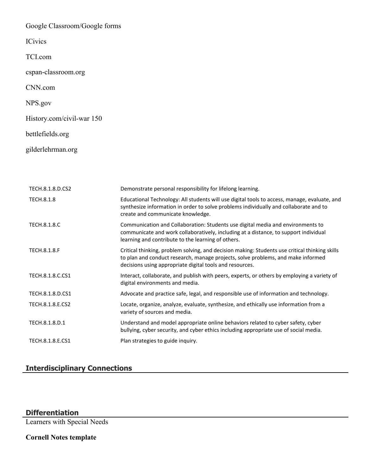Google Classroom/Google forms

**ICivics** 

TCI.com

cspan-classroom.org

CNN.com

NPS.gov

History.com/civil-war 150

bettlefields.org

gilderlehrman.org

| TECH.8.1.8.D.CS2    | Demonstrate personal responsibility for lifelong learning.                                                                                                                                                                                     |
|---------------------|------------------------------------------------------------------------------------------------------------------------------------------------------------------------------------------------------------------------------------------------|
| <b>TECH.8.1.8</b>   | Educational Technology: All students will use digital tools to access, manage, evaluate, and<br>synthesize information in order to solve problems individually and collaborate and to<br>create and communicate knowledge.                     |
| <b>TECH.8.1.8.C</b> | Communication and Collaboration: Students use digital media and environments to<br>communicate and work collaboratively, including at a distance, to support individual<br>learning and contribute to the learning of others.                  |
| <b>TECH.8.1.8.F</b> | Critical thinking, problem solving, and decision making: Students use critical thinking skills<br>to plan and conduct research, manage projects, solve problems, and make informed<br>decisions using appropriate digital tools and resources. |
| TECH.8.1.8.C.CS1    | Interact, collaborate, and publish with peers, experts, or others by employing a variety of<br>digital environments and media.                                                                                                                 |
| TECH.8.1.8.D.CS1    | Advocate and practice safe, legal, and responsible use of information and technology.                                                                                                                                                          |
| TECH.8.1.8.E.CS2    | Locate, organize, analyze, evaluate, synthesize, and ethically use information from a<br>variety of sources and media.                                                                                                                         |
| TECH.8.1.8.D.1      | Understand and model appropriate online behaviors related to cyber safety, cyber<br>bullying, cyber security, and cyber ethics including appropriate use of social media.                                                                      |
| TECH.8.1.8.E.CS1    | Plan strategies to guide inquiry.                                                                                                                                                                                                              |

# **Interdisciplinary Connections**

# **Differentiation**

Learners with Special Needs

**Cornell Notes template**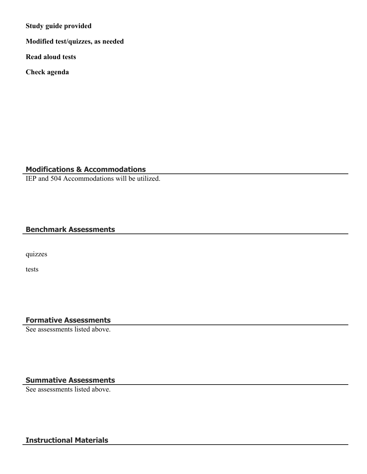**Study guide provided**

**Modified test/quizzes, as needed**

**Read aloud tests**

**Check agenda**

# **Modifications & Accommodations**

IEP and 504 Accommodations will be utilized.

# **Benchmark Assessments**

quizzes

tests

# **Formative Assessments**

See assessments listed above.

# **Summative Assessments**

See assessments listed above.